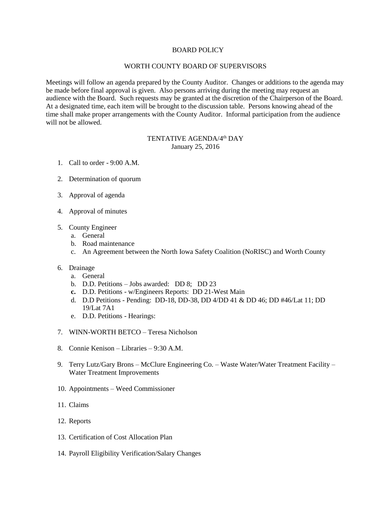## BOARD POLICY

## WORTH COUNTY BOARD OF SUPERVISORS

Meetings will follow an agenda prepared by the County Auditor. Changes or additions to the agenda may be made before final approval is given. Also persons arriving during the meeting may request an audience with the Board. Such requests may be granted at the discretion of the Chairperson of the Board. At a designated time, each item will be brought to the discussion table. Persons knowing ahead of the time shall make proper arrangements with the County Auditor. Informal participation from the audience will not be allowed.

## TENTATIVE AGENDA/4<sup>th</sup> DAY January 25, 2016

- 1. Call to order 9:00 A.M.
- 2. Determination of quorum
- 3. Approval of agenda
- 4. Approval of minutes
- 5. County Engineer
	- a. General
	- b. Road maintenance
	- c. An Agreement between the North Iowa Safety Coalition (NoRISC) and Worth County
- 6. Drainage
	- a. General
	- b. D.D. Petitions Jobs awarded: DD 8; DD 23
	- **c.** D.D. Petitions w/Engineers Reports: DD 21-West Main
	- d. D.D Petitions Pending: DD-18, DD-38, DD 4/DD 41 & DD 46; DD #46/Lat 11; DD 19/Lat 7A1
	- e. D.D. Petitions Hearings:
- 7. WINN-WORTH BETCO Teresa Nicholson
- 8. Connie Kenison Libraries 9:30 A.M.
- 9. Terry Lutz/Gary Brons McClure Engineering Co. Waste Water/Water Treatment Facility Water Treatment Improvements
- 10. Appointments Weed Commissioner
- 11. Claims
- 12. Reports
- 13. Certification of Cost Allocation Plan
- 14. Payroll Eligibility Verification/Salary Changes